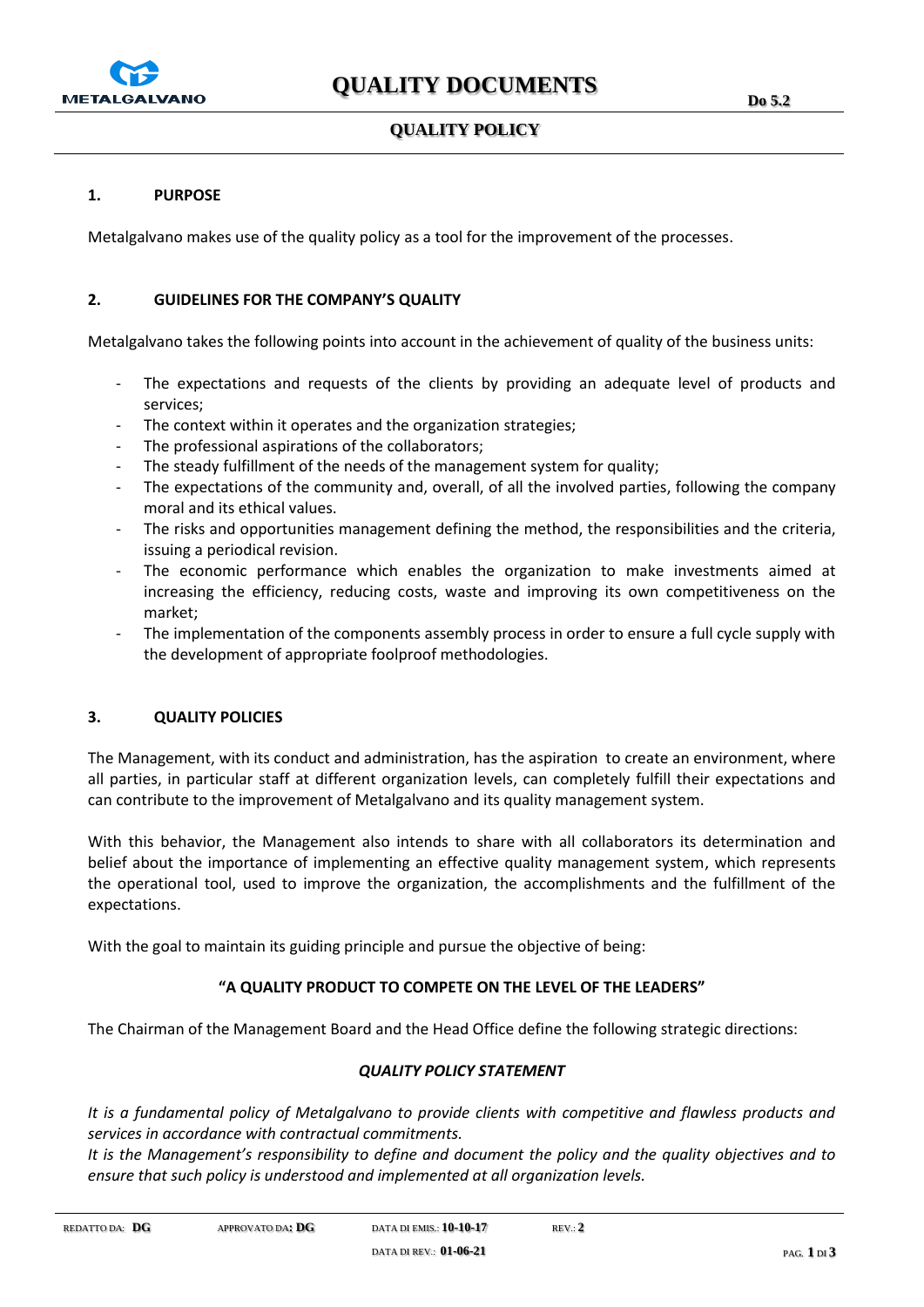

## **QUALITY POLICY**

Metalgalvano makes use of the quality policy as a tool for the improvement of the processes.

### **2. GUIDELINES FOR THE COMPANY'S QUALITY**

Metalgalvano takes the following points into account in the achievement of quality of the business units:

- The expectations and requests of the clients by providing an adequate level of products and services;
- The context within it operates and the organization strategies;
- The professional aspirations of the collaborators;
- The steady fulfillment of the needs of the management system for quality;
- The expectations of the community and, overall, of all the involved parties, following the company moral and its ethical values.
- The risks and opportunities management defining the method, the responsibilities and the criteria, issuing a periodical revision.
- The economic performance which enables the organization to make investments aimed at increasing the efficiency, reducing costs, waste and improving its own competitiveness on the market;
- The implementation of the components assembly process in order to ensure a full cycle supply with the development of appropriate foolproof methodologies.

### **3. QUALITY POLICIES**

The Management, with its conduct and administration, has the aspiration to create an environment, where all parties, in particular staff at different organization levels, can completely fulfill their expectations and can contribute to the improvement of Metalgalvano and its quality management system.

With this behavior, the Management also intends to share with all collaborators its determination and belief about the importance of implementing an effective quality management system, which represents the operational tool, used to improve the organization, the accomplishments and the fulfillment of the expectations.

With the goal to maintain its guiding principle and pursue the objective of being:

### **"A QUALITY PRODUCT TO COMPETE ON THE LEVEL OF THE LEADERS"**

The Chairman of the Management Board and the Head Office define the following strategic directions:

### *QUALITY POLICY STATEMENT*

*It is a fundamental policy of Metalgalvano to provide clients with competitive and flawless products and services in accordance with contractual commitments.*

*It is the Management's responsibility to define and document the policy and the quality objectives and to ensure that such policy is understood and implemented at all organization levels.*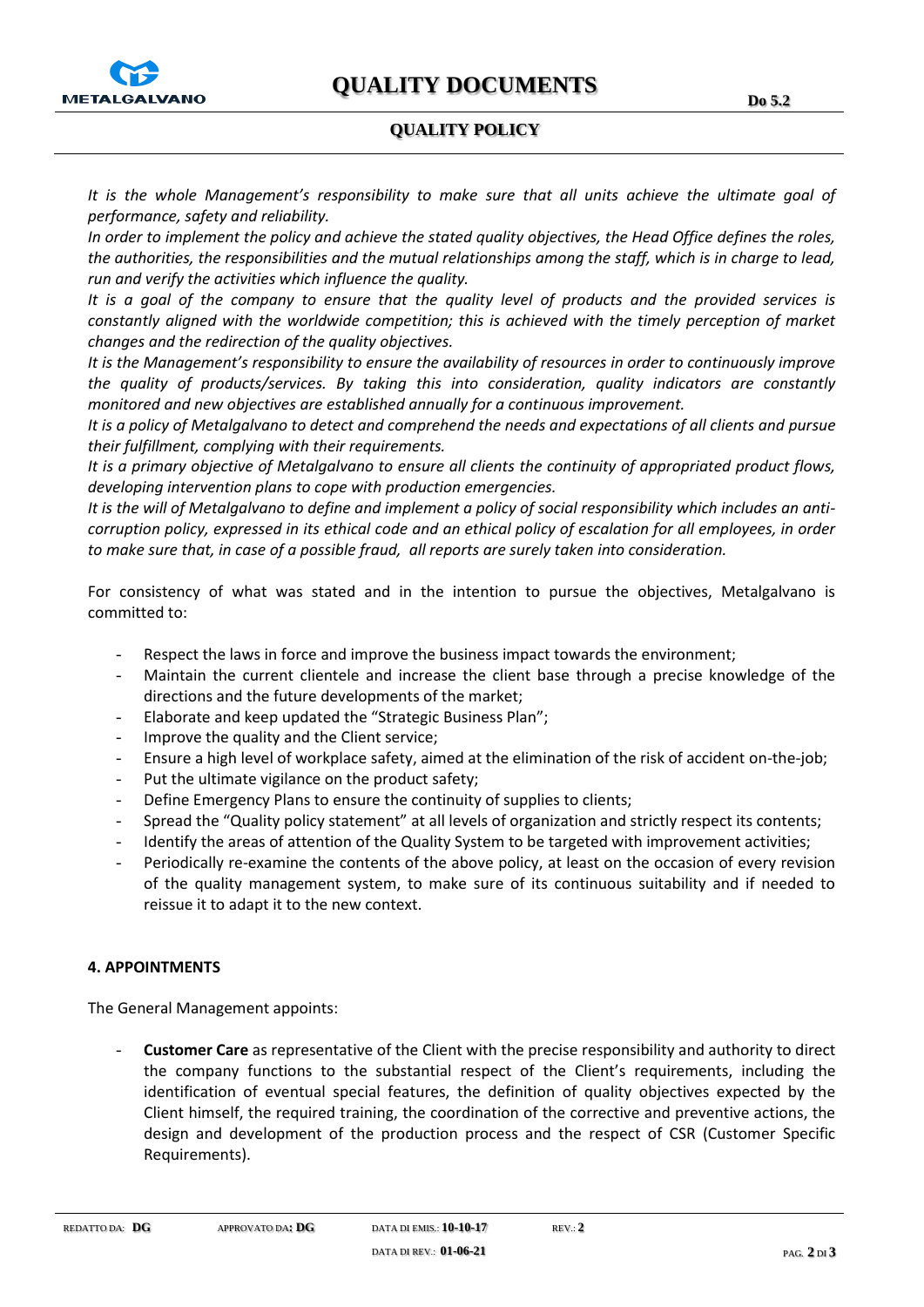# **QUALITY POLICY**

*It is the whole Management's responsibility to make sure that all units achieve the ultimate goal of performance, safety and reliability.*

*In order to implement the policy and achieve the stated quality objectives, the Head Office defines the roles, the authorities, the responsibilities and the mutual relationships among the staff, which is in charge to lead, run and verify the activities which influence the quality.*

*It is a goal of the company to ensure that the quality level of products and the provided services is constantly aligned with the worldwide competition; this is achieved with the timely perception of market changes and the redirection of the quality objectives.*

*It is the Management's responsibility to ensure the availability of resources in order to continuously improve the quality of products/services. By taking this into consideration, quality indicators are constantly monitored and new objectives are established annually for a continuous improvement.* 

*It is a policy of Metalgalvano to detect and comprehend the needs and expectations of all clients and pursue their fulfillment, complying with their requirements.*

*It is a primary objective of Metalgalvano to ensure all clients the continuity of appropriated product flows, developing intervention plans to cope with production emergencies.*

*It is the will of Metalgalvano to define and implement a policy of social responsibility which includes an anticorruption policy, expressed in its ethical code and an ethical policy of escalation for all employees, in order to make sure that, in case of a possible fraud, all reports are surely taken into consideration.* 

For consistency of what was stated and in the intention to pursue the objectives, Metalgalvano is committed to:

- Respect the laws in force and improve the business impact towards the environment;
- Maintain the current clientele and increase the client base through a precise knowledge of the directions and the future developments of the market;
- Elaborate and keep updated the "Strategic Business Plan";
- Improve the quality and the Client service;
- Ensure a high level of workplace safety, aimed at the elimination of the risk of accident on-the-job;
- Put the ultimate vigilance on the product safety;
- Define Emergency Plans to ensure the continuity of supplies to clients;
- Spread the "Quality policy statement" at all levels of organization and strictly respect its contents;
- Identify the areas of attention of the Quality System to be targeted with improvement activities;
- Periodically re-examine the contents of the above policy, at least on the occasion of every revision of the quality management system, to make sure of its continuous suitability and if needed to reissue it to adapt it to the new context.

### **4. APPOINTMENTS**

The General Management appoints:

- **Customer Care** as representative of the Client with the precise responsibility and authority to direct the company functions to the substantial respect of the Client's requirements, including the identification of eventual special features, the definition of quality objectives expected by the Client himself, the required training, the coordination of the corrective and preventive actions, the design and development of the production process and the respect of CSR (Customer Specific Requirements).